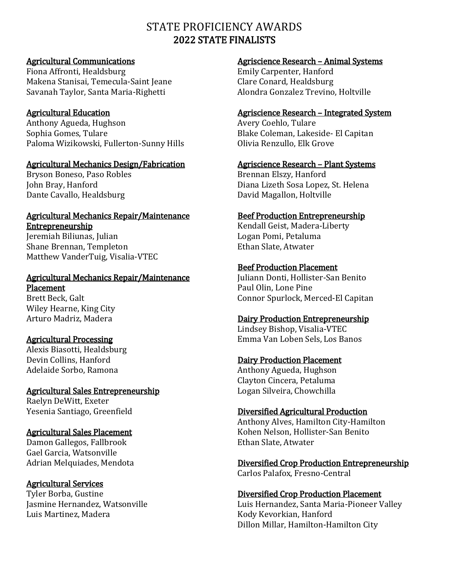# STATE PROFICIENCY AWARDS 2022 STATE FINALISTS

## Agricultural Communications

Fiona Affronti, Healdsburg Makena Stanisai, Temecula-Saint Jeane Savanah Taylor, Santa Maria-Righetti

## Agricultural Education

Anthony Agueda, Hughson Sophia Gomes, Tulare Paloma Wizikowski, Fullerton-Sunny Hills

### Agricultural Mechanics Design/Fabrication

Bryson Boneso, Paso Robles John Bray, Hanford Dante Cavallo, Healdsburg

#### Agricultural Mechanics Repair/Maintenance **Entrepreneurship**

Jeremiah Biliunas, Julian Shane Brennan, Templeton Matthew VanderTuig, Visalia-VTEC

#### Agricultural Mechanics Repair/Maintenance Placement

Brett Beck, Galt Wiley Hearne, King City Arturo Madriz, Madera

## Agricultural Processing

Alexis Biasotti, Healdsburg Devin Collins, Hanford Adelaide Sorbo, Ramona

#### Agricultural Sales Entrepreneurship Raelyn DeWitt, Exeter

Yesenia Santiago, Greenfield

## Agricultural Sales Placement

Damon Gallegos, Fallbrook Gael Garcia, Watsonville Adrian Melquiades, Mendota

## Agricultural Services

Tyler Borba, Gustine Jasmine Hernandez, Watsonville Luis Martinez, Madera

### Agriscience Research – Animal Systems

Emily Carpenter, Hanford Clare Conard, Healdsburg Alondra Gonzalez Trevino, Holtville

#### Agriscience Research – Integrated System

Avery Coehlo, Tulare Blake Coleman, Lakeside- El Capitan Olivia Renzullo, Elk Grove

#### Agriscience Research – Plant Systems

Brennan Elszy, Hanford Diana Lizeth Sosa Lopez, St. Helena David Magallon, Holtville

### Beef Production Entrepreneurship

Kendall Geist, Madera-Liberty Logan Pomi, Petaluma Ethan Slate, Atwater

### Beef Production Placement

Juliann Donti, Hollister-San Benito Paul Olin, Lone Pine Connor Spurlock, Merced-El Capitan

## Dairy Production Entrepreneurship

Lindsey Bishop, Visalia-VTEC Emma Van Loben Sels, Los Banos

#### Dairy Production Placement

Anthony Agueda, Hughson Clayton Cincera, Petaluma Logan Silveira, Chowchilla

#### Diversified Agricultural Production

Anthony Alves, Hamilton City-Hamilton Kohen Nelson, Hollister-San Benito Ethan Slate, Atwater

#### Diversified Crop Production Entrepreneurship Carlos Palafox, Fresno-Central

## Diversified Crop Production Placement

Luis Hernandez, Santa Maria-Pioneer Valley Kody Kevorkian, Hanford Dillon Millar, Hamilton-Hamilton City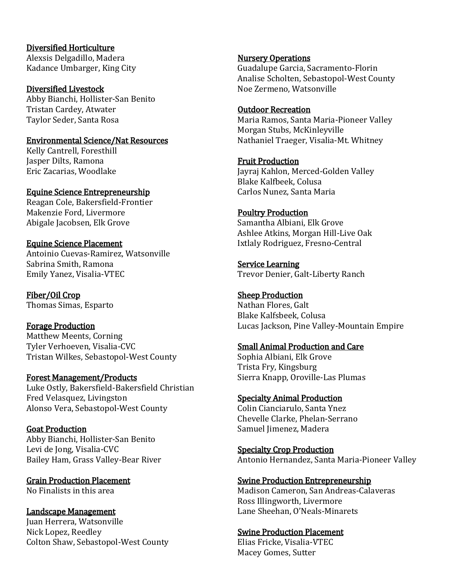## Diversified Horticulture

Alexsis Delgadillo, Madera Kadance Umbarger, King City

Diversified Livestock Abby Bianchi, Hollister-San Benito Tristan Cardey, Atwater Taylor Seder, Santa Rosa

### Environmental Science/Nat Resources

Kelly Cantrell, Foresthill Jasper Dilts, Ramona Eric Zacarias, Woodlake

# Equine Science Entrepreneurship

Reagan Cole, Bakersfield-Frontier Makenzie Ford, Livermore Abigale Jacobsen, Elk Grove

## Equine Science Placement

Antoinio Cuevas-Ramirez, Watsonville Sabrina Smith, Ramona Emily Yanez, Visalia-VTEC

Fiber/Oil Crop Thomas Simas, Esparto

## Forage Production

Matthew Meents, Corning Tyler Verhoeven, Visalia-CVC Tristan Wilkes, Sebastopol-West County

## Forest Management/Products

Luke Ostly, Bakersfield-Bakersfield Christian Fred Velasquez, Livingston Alonso Vera, Sebastopol-West County

## Goat Production

Abby Bianchi, Hollister-San Benito Levi de Jong, Visalia-CVC Bailey Ham, Grass Valley-Bear River

#### Grain Production Placement No Finalists in this area

#### Landscape Management Juan Herrera, Watsonville Nick Lopez, Reedley Colton Shaw, Sebastopol-West County

### Nursery Operations

Guadalupe Garcia, Sacramento-Florin Analise Scholten, Sebastopol-West County Noe Zermeno, Watsonville

## Outdoor Recreation

Maria Ramos, Santa Maria-Pioneer Valley Morgan Stubs, McKinleyville Nathaniel Traeger, Visalia-Mt. Whitney

## Fruit Production

Jayraj Kahlon, Merced-Golden Valley Blake Kalfbeek, Colusa Carlos Nunez, Santa Maria

## Poultry Production

Samantha Albiani, Elk Grove Ashlee Atkins, Morgan Hill-Live Oak Ixtlaly Rodriguez, Fresno-Central

Service Learning Trevor Denier, Galt-Liberty Ranch

## Sheep Production

Nathan Flores, Galt Blake Kalfsbeek, Colusa Lucas Jackson, Pine Valley-Mountain Empire

## Small Animal Production and Care

Sophia Albiani, Elk Grove Trista Fry, Kingsburg Sierra Knapp, Oroville-Las Plumas

## Specialty Animal Production

Colin Cianciarulo, Santa Ynez Chevelle Clarke, Phelan-Serrano Samuel Jimenez, Madera

Specialty Crop Production Antonio Hernandez, Santa Maria-Pioneer Valley

#### Swine Production Entrepreneurship

Madison Cameron, San Andreas-Calaveras Ross Illingworth, Livermore Lane Sheehan, O'Neals-Minarets

## Swine Production Placement

Elias Fricke, Visalia-VTEC Macey Gomes, Sutter